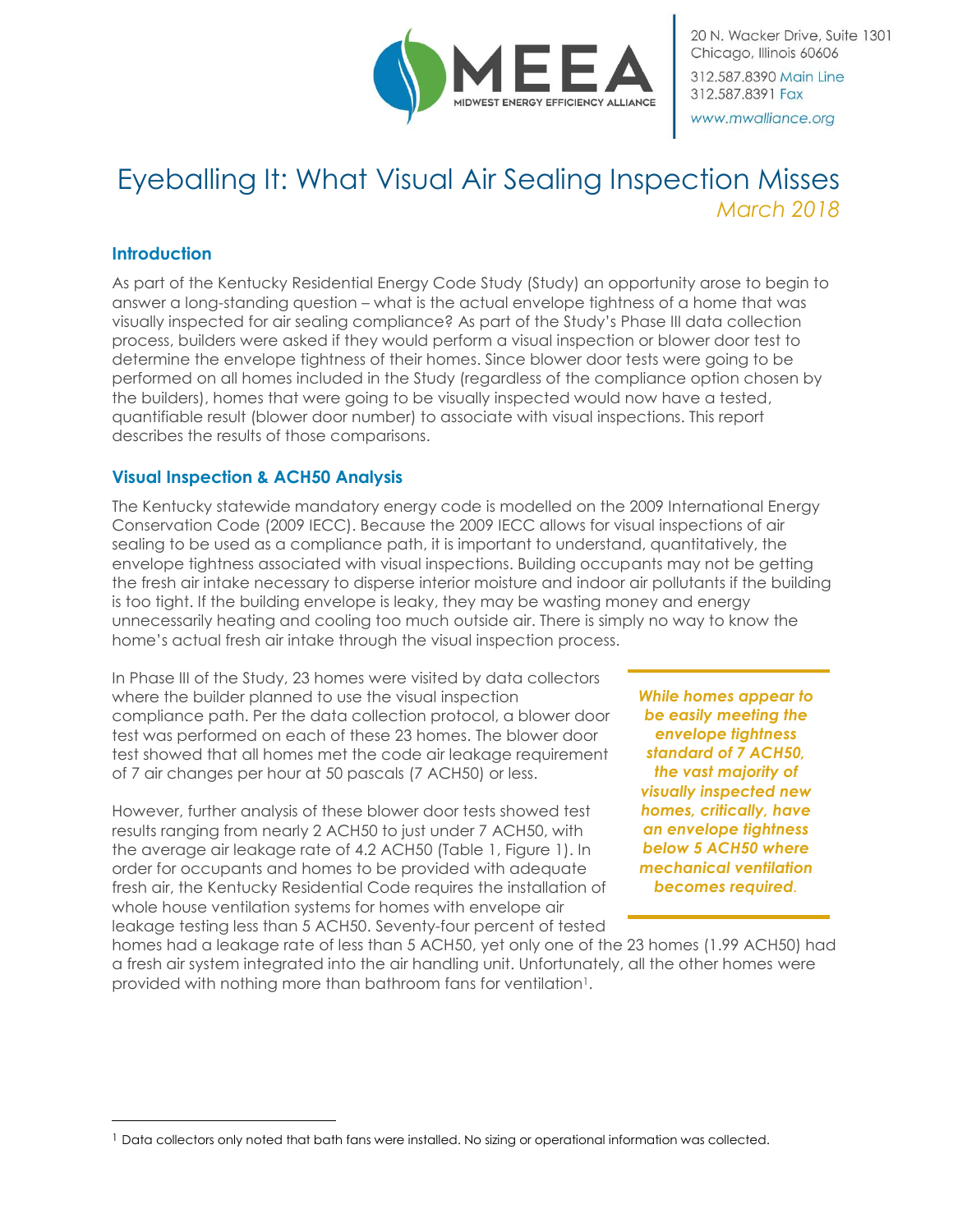

20 N. Wacker Drive, Suite 1301 Chicago, Illinois 60606 312.587.8390 Main Line 312.587.8391 Fax www.mwalliance.org

# Eyeballing It: What Visual Air Sealing Inspection Misses *March 2018*

### **Introduction**

 $\overline{a}$ 

As part of the Kentucky Residential Energy Code Study (Study) an opportunity arose to begin to answer a long-standing question – what is the actual envelope tightness of a home that was visually inspected for air sealing compliance? As part of the Study's Phase III data collection process, builders were asked if they would perform a visual inspection or blower door test to determine the envelope tightness of their homes. Since blower door tests were going to be performed on all homes included in the Study (regardless of the compliance option chosen by the builders), homes that were going to be visually inspected would now have a tested, quantifiable result (blower door number) to associate with visual inspections. This report describes the results of those comparisons.

### **Visual Inspection & ACH50 Analysis**

The Kentucky statewide mandatory energy code is modelled on the 2009 International Energy Conservation Code (2009 IECC). Because the 2009 IECC allows for visual inspections of air sealing to be used as a compliance path, it is important to understand, quantitatively, the envelope tightness associated with visual inspections. Building occupants may not be getting the fresh air intake necessary to disperse interior moisture and indoor air pollutants if the building is too tight. If the building envelope is leaky, they may be wasting money and energy unnecessarily heating and cooling too much outside air. There is simply no way to know the home's actual fresh air intake through the visual inspection process.

In Phase III of the Study, 23 homes were visited by data collectors where the builder planned to use the visual inspection compliance path. Per the data collection protocol, a blower door test was performed on each of these 23 homes. The blower door test showed that all homes met the code air leakage requirement of 7 air changes per hour at 50 pascals (7 ACH50) or less.

However, further analysis of these blower door tests showed test results ranging from nearly 2 ACH50 to just under 7 ACH50, with the average air leakage rate of 4.2 ACH50 (Table 1, Figure 1). In order for occupants and homes to be provided with adequate fresh air, the Kentucky Residential Code requires the installation of whole house ventilation systems for homes with envelope air leakage testing less than 5 ACH50. Seventy-four percent of tested

*While homes appear to be easily meeting the envelope tightness standard of 7 ACH50, the vast majority of visually inspected new homes, critically, have an envelope tightness below 5 ACH50 where mechanical ventilation becomes required.*

homes had a leakage rate of less than 5 ACH50, yet only one of the 23 homes (1.99 ACH50) had a fresh air system integrated into the air handling unit. Unfortunately, all the other homes were provided with nothing more than bathroom fans for ventilation<sup>1</sup>.

<sup>&</sup>lt;sup>1</sup> Data collectors only noted that bath fans were installed. No sizing or operational information was collected.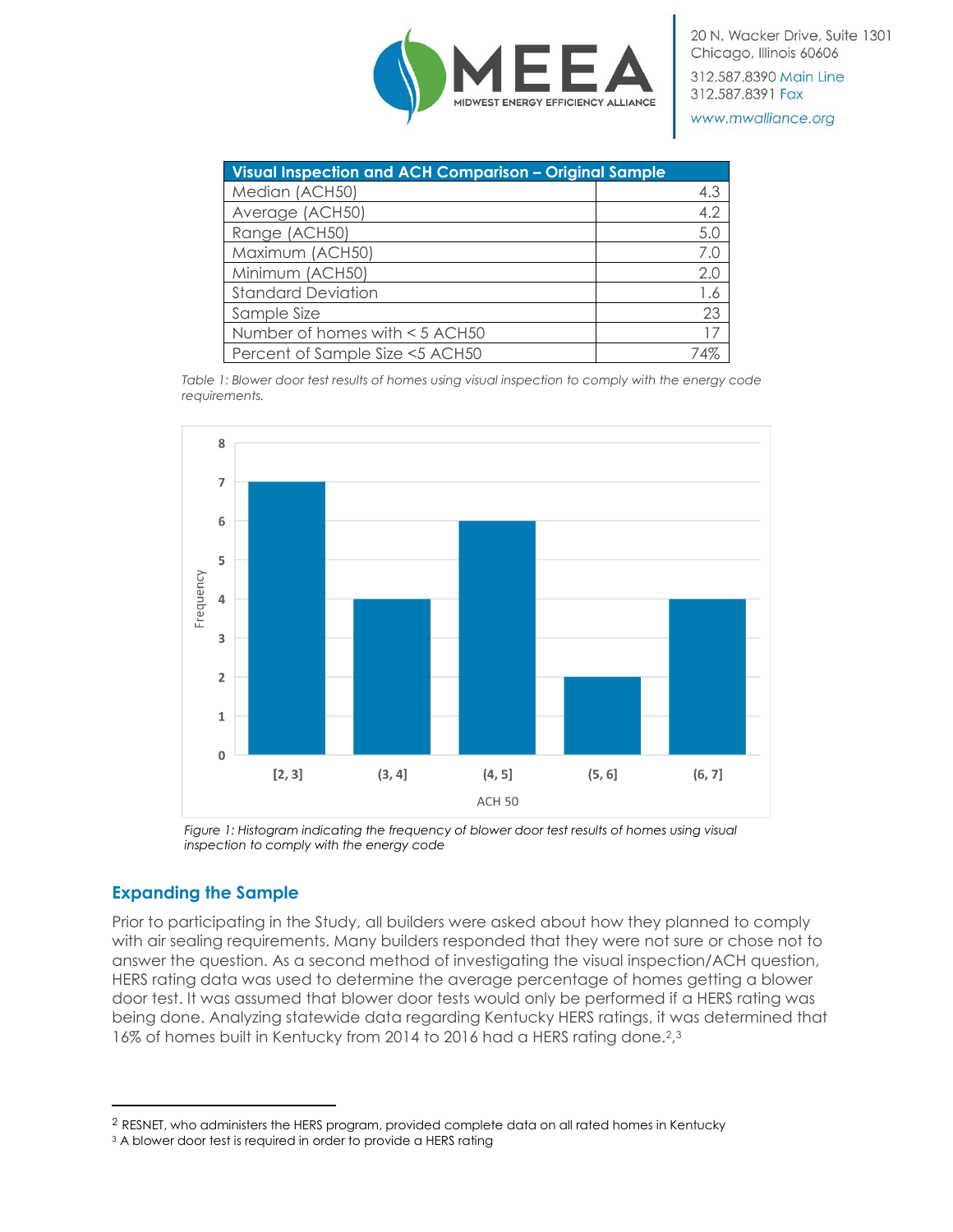

312.587.8390 Main Line 312.587.8391 Fax

www.mwalliance.org

| Visual Inspection and ACH Comparison - Original Sample |             |
|--------------------------------------------------------|-------------|
| Median (ACH50)                                         | 4.3         |
| Average (ACH50)                                        | 4.2         |
| Range (ACH50)                                          | 5.0         |
| Maximum (ACH50)                                        | 7.0         |
| Minimum (ACH50)                                        | 2.0         |
| <b>Standard Deviation</b>                              | 1.6         |
| Sample Size                                            | 23          |
| Number of homes with < 5 ACH50                         | 17          |
| Percent of Sample Size <5 ACH50                        | $\Lambda\%$ |

*Table 1: Blower door test results of homes using visual inspection to comply with the energy code requirements.*



Figure 1: Histogram indicating the frequency of blower door test results of homes using visual *inspection to comply with the energy code*

## **Expanding the Sample**

 $\overline{a}$ 

Prior to participating in the Study, all builders were asked about how they planned to comply with air sealing requirements. Many builders responded that they were not sure or chose not to answer the question. As a second method of investigating the visual inspection/ACH question, HERS rating data was used to determine the average percentage of homes getting a blower door test. It was assumed that blower door tests would only be performed if a HERS rating was being done. Analyzing statewide data regarding Kentucky HERS ratings, it was determined that 16% of homes built in Kentucky from 2014 to 2016 had a HERS rating done.<sup>2,3</sup>

<sup>2</sup> RESNET, who administers the HERS program, provided complete data on all rated homes in Kentucky

<sup>&</sup>lt;sup>3</sup> A blower door test is required in order to provide a HERS rating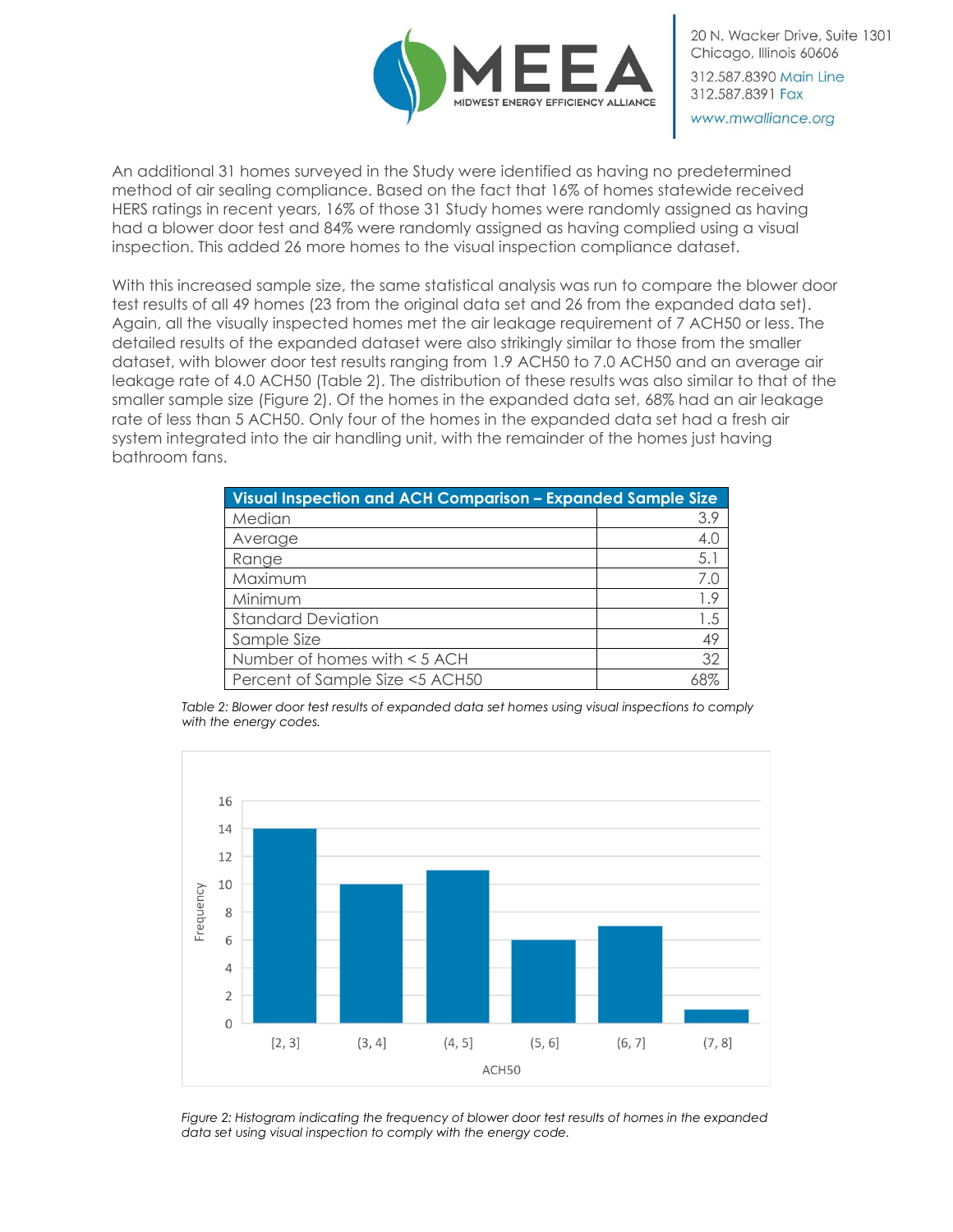

20 N. Wacker Drive, Suite 1301 Chicago, Illinois 60606 312.587.8390 Main Line 312.587.8391 Fax www.mwalliance.org

An additional 31 homes surveyed in the Study were identified as having no predetermined method of air sealing compliance. Based on the fact that 16% of homes statewide received HERS ratings in recent years, 16% of those 31 Study homes were randomly assigned as having had a blower door test and 84% were randomly assigned as having complied using a visual inspection. This added 26 more homes to the visual inspection compliance dataset.

With this increased sample size, the same statistical analysis was run to compare the blower door test results of all 49 homes (23 from the original data set and 26 from the expanded data set). Again, all the visually inspected homes met the air leakage requirement of 7 ACH50 or less. The detailed results of the expanded dataset were also strikingly similar to those from the smaller dataset, with blower door test results ranging from 1.9 ACH50 to 7.0 ACH50 and an average air leakage rate of 4.0 ACH50 (Table 2). The distribution of these results was also similar to that of the smaller sample size (Figure 2). Of the homes in the expanded data set, 68% had an air leakage rate of less than 5 ACH50. Only four of the homes in the expanded data set had a fresh air system integrated into the air handling unit, with the remainder of the homes just having bathroom fans.

| Visual Inspection and ACH Comparison - Expanded Sample Size |     |
|-------------------------------------------------------------|-----|
| Median                                                      | 3.9 |
| Average                                                     | 4.0 |
| Range                                                       | 5.1 |
| Maximum                                                     | 7.0 |
| Minimum                                                     | 1.9 |
| <b>Standard Deviation</b>                                   | 1.5 |
| Sample Size                                                 | 49  |
| Number of homes with < 5 ACH                                | 32  |
| Percent of Sample Size <5 ACH50                             |     |

*Table 2: Blower door test results of expanded data set homes using visual inspections to comply with the energy codes.*



*Figure 2: Histogram indicating the frequency of blower door test results of homes in the expanded data set using visual inspection to comply with the energy code.*